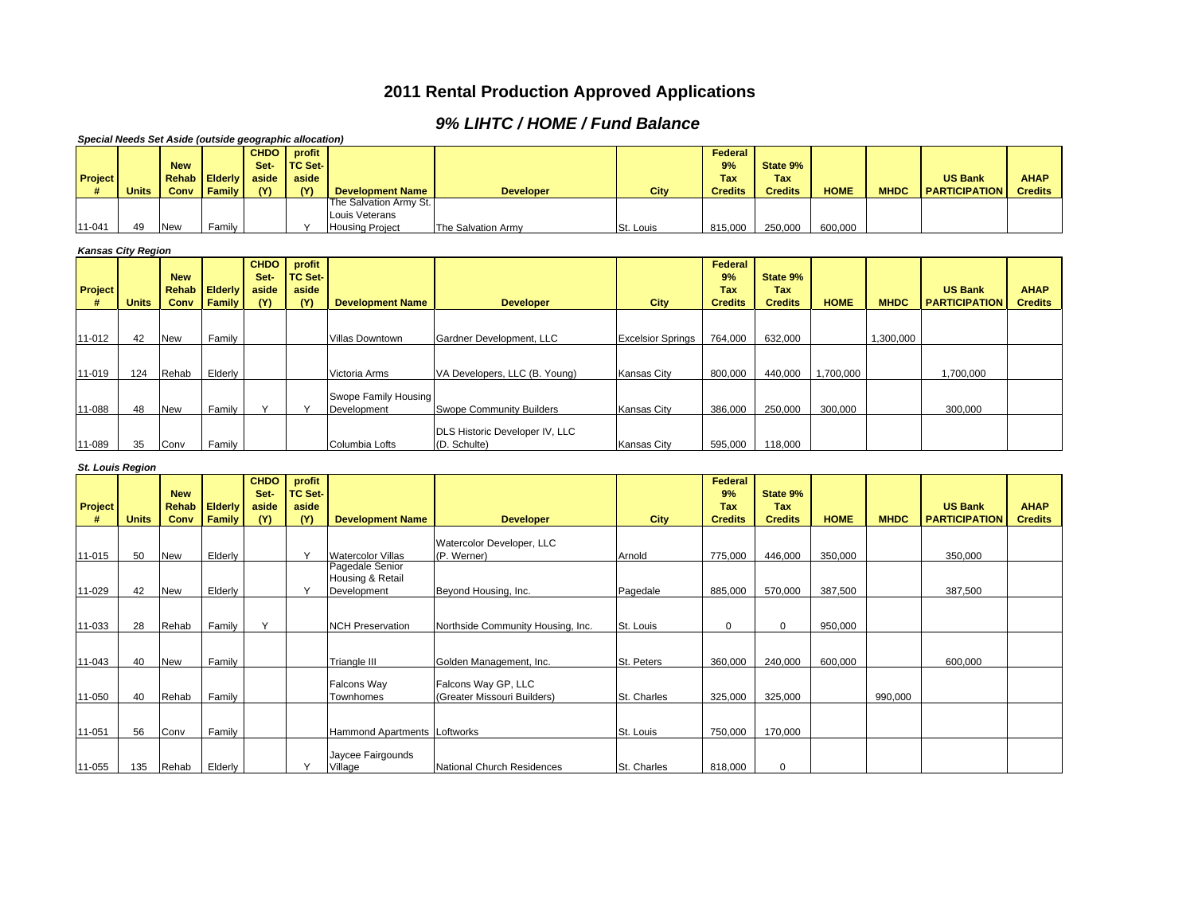## **2011 Rental Production Approved Applications**

## *9% LIHTC / HOME / Fund Balance*

| Special Needs Set Aside (outside geographic allocation) |                           |                            |         |             |                          |                              |                                   |                          |                |                |             |             |                      |                |
|---------------------------------------------------------|---------------------------|----------------------------|---------|-------------|--------------------------|------------------------------|-----------------------------------|--------------------------|----------------|----------------|-------------|-------------|----------------------|----------------|
|                                                         |                           |                            |         | <b>CHDO</b> | profit                   |                              |                                   |                          | <b>Federal</b> |                |             |             |                      |                |
|                                                         |                           | <b>New</b>                 |         | Set-        | <b>TC Set-</b>           |                              |                                   |                          | 9%             | State 9%       |             |             |                      |                |
| Project                                                 |                           | <b>Rehab</b>               | Elderly | aside       | aside                    |                              |                                   |                          | Tax            | <b>Tax</b>     |             |             | <b>US Bank</b>       | <b>AHAP</b>    |
| #                                                       | <b>Units</b>              | Conv                       | Family  | (Y)         | (Y)                      | <b>Development Name</b>      | <b>Developer</b>                  | City                     | <b>Credits</b> | <b>Credits</b> | <b>HOME</b> | <b>MHDC</b> | <b>PARTICIPATION</b> | <b>Credits</b> |
|                                                         |                           |                            |         |             |                          | The Salvation Army St.       |                                   |                          |                |                |             |             |                      |                |
|                                                         |                           |                            |         |             |                          | Louis Veterans               |                                   |                          |                |                |             |             |                      |                |
| 11-041                                                  | 49                        | <b>New</b>                 | Family  |             | Y                        | <b>Housing Project</b>       | The Salvation Army                | St. Louis                | 815,000        | 250,000        | 600,000     |             |                      |                |
|                                                         | <b>Kansas City Region</b> |                            |         |             |                          |                              |                                   |                          |                |                |             |             |                      |                |
|                                                         |                           |                            |         | <b>CHDO</b> |                          |                              |                                   |                          |                |                |             |             |                      |                |
|                                                         |                           |                            |         | Set-        | profit<br><b>TC Set-</b> |                              |                                   |                          | Federal<br>9%  | State 9%       |             |             |                      |                |
|                                                         |                           | <b>New</b><br><b>Rehab</b> | Elderly | aside       | aside                    |                              |                                   |                          | Tax            | Tax            |             |             | <b>US Bank</b>       | <b>AHAP</b>    |
| Project<br>#                                            | <b>Units</b>              | Conv                       | Family  | (Y)         | (Y)                      | <b>Development Name</b>      | <b>Developer</b>                  | City                     | <b>Credits</b> | <b>Credits</b> | <b>HOME</b> | <b>MHDC</b> | <b>PARTICIPATION</b> | <b>Credits</b> |
|                                                         |                           |                            |         |             |                          |                              |                                   |                          |                |                |             |             |                      |                |
|                                                         |                           |                            |         |             |                          |                              |                                   |                          |                |                |             |             |                      |                |
| 11-012                                                  | 42                        | <b>New</b>                 | Family  |             |                          | Villas Downtown              | Gardner Development, LLC          | <b>Excelsior Springs</b> | 764,000        | 632,000        |             | 1,300,000   |                      |                |
|                                                         |                           |                            |         |             |                          |                              |                                   |                          |                |                |             |             |                      |                |
|                                                         |                           |                            |         |             |                          |                              |                                   |                          |                |                |             |             |                      |                |
| 11-019                                                  | 124                       | Rehab                      | Elderly |             |                          | Victoria Arms                | VA Developers, LLC (B. Young)     | <b>Kansas City</b>       | 800,000        | 440,000        | 1,700,000   |             | 1,700,000            |                |
|                                                         |                           |                            |         |             |                          |                              |                                   |                          |                |                |             |             |                      |                |
|                                                         |                           |                            |         |             |                          | Swope Family Housing         |                                   |                          |                |                |             |             |                      |                |
| 11-088                                                  | 48                        | <b>New</b>                 | Family  | Y           | Y                        | Development                  | <b>Swope Community Builders</b>   | <b>Kansas City</b>       | 386,000        | 250,000        | 300,000     |             | 300,000              |                |
|                                                         |                           |                            |         |             |                          |                              | DLS Historic Developer IV, LLC    |                          |                |                |             |             |                      |                |
| 11-089                                                  | 35                        | Conv                       | Family  |             |                          | Columbia Lofts               | (D. Schulte)                      | <b>Kansas City</b>       | 595.000        | 118.000        |             |             |                      |                |
|                                                         |                           |                            |         |             |                          |                              |                                   |                          |                |                |             |             |                      |                |
| <b>St. Louis Region</b>                                 |                           |                            |         |             |                          |                              |                                   |                          |                |                |             |             |                      |                |
|                                                         |                           |                            |         |             |                          |                              |                                   |                          |                |                |             |             |                      |                |
|                                                         |                           |                            |         | <b>CHDO</b> | profit                   |                              |                                   |                          | Federal        |                |             |             |                      |                |
|                                                         |                           | <b>New</b>                 |         | Set-        | <b>TC Set-</b>           |                              |                                   |                          | 9%             | State 9%       |             |             |                      |                |
| Project                                                 |                           | <b>Rehab</b>               | Elderly | aside       | aside                    |                              |                                   |                          | Tax            | Tax            |             |             | <b>US Bank</b>       | <b>AHAP</b>    |
| #                                                       | <b>Units</b>              | Conv                       | Family  | (Y)         | (Y)                      | <b>Development Name</b>      | <b>Developer</b>                  | City                     | <b>Credits</b> | <b>Credits</b> | <b>HOME</b> | <b>MHDC</b> | <b>PARTICIPATION</b> | <b>Credits</b> |
|                                                         |                           |                            |         |             |                          |                              |                                   |                          |                |                |             |             |                      |                |
|                                                         |                           |                            |         |             |                          |                              | Watercolor Developer, LLC         |                          |                |                |             |             |                      |                |
| 11-015                                                  | 50                        | <b>New</b>                 | Elderly |             | Y                        | Watercolor Villas            | (P. Werner)                       | Arnold                   | 775,000        | 446,000        | 350,000     |             | 350,000              |                |
|                                                         |                           |                            |         |             |                          | Pagedale Senior              |                                   |                          |                |                |             |             |                      |                |
|                                                         |                           |                            |         |             |                          | Housing & Retail             |                                   |                          |                |                |             |             |                      |                |
| 11-029                                                  | 42                        | <b>New</b>                 | Elderly |             | Y                        | Development                  | Beyond Housing, Inc.              | Pagedale                 | 885.000        | 570,000        | 387,500     |             | 387,500              |                |
|                                                         |                           |                            |         |             |                          |                              |                                   |                          |                |                |             |             |                      |                |
| 11-033                                                  | 28                        | Rehab                      | Family  | Y           |                          | <b>NCH Preservation</b>      | Northside Community Housing, Inc. | St. Louis                | $\mathbf 0$    | 0              | 950,000     |             |                      |                |
|                                                         |                           |                            |         |             |                          |                              |                                   |                          |                |                |             |             |                      |                |
|                                                         |                           |                            |         |             |                          |                              |                                   |                          |                |                |             |             |                      |                |
| 11-043                                                  | 40                        | <b>New</b>                 | Family  |             |                          | Triangle III                 | Golden Management, Inc.           | St. Peters               | 360,000        | 240,000        | 600,000     |             | 600,000              |                |
|                                                         |                           |                            |         |             |                          |                              |                                   |                          |                |                |             |             |                      |                |
|                                                         |                           |                            |         |             |                          | Falcons Way                  | Falcons Way GP, LLC               |                          |                |                |             |             |                      |                |
| 11-050                                                  | 40                        | Rehab                      | Family  |             |                          | Townhomes                    | (Greater Missouri Builders)       | St. Charles              | 325,000        | 325,000        |             | 990,000     |                      |                |
|                                                         |                           |                            |         |             |                          |                              |                                   |                          |                |                |             |             |                      |                |
| 11-051                                                  | 56                        | Conv                       | Family  |             |                          | Hammond Apartments Loftworks |                                   | St. Louis                | 750,000        | 170,000        |             |             |                      |                |
|                                                         |                           |                            |         |             |                          |                              |                                   |                          |                |                |             |             |                      |                |
|                                                         |                           |                            | Elderly |             | Y                        | Jaycee Fairgounds<br>Village |                                   |                          |                |                |             |             |                      |                |